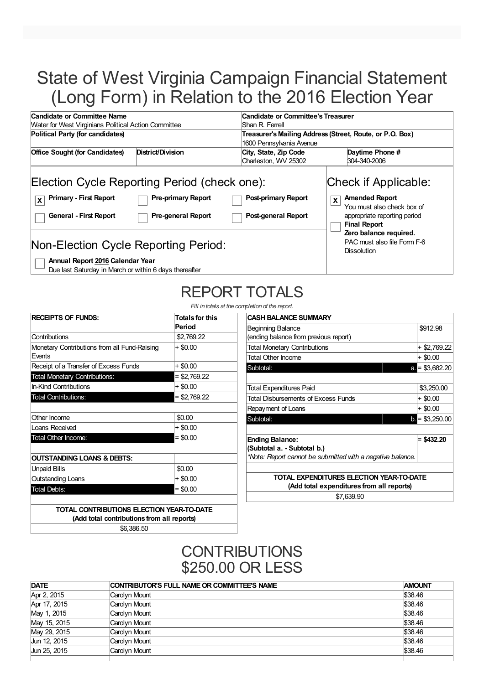# State of West Virginia Campaign Financial Statement (Long Form) in Relation to the 2016 Election Year

| Candidate or Committee Name                                                    |                                                                                                        | Candidate or Committee's Treasurer                       |                                                                                                                                                                   |  |
|--------------------------------------------------------------------------------|--------------------------------------------------------------------------------------------------------|----------------------------------------------------------|-------------------------------------------------------------------------------------------------------------------------------------------------------------------|--|
| <b>Water for West Virginians Political Action Committee</b>                    |                                                                                                        | Shan R. Ferrell                                          |                                                                                                                                                                   |  |
| Political Party (for candidates)                                               |                                                                                                        | Treasurer's Mailing Address (Street, Route, or P.O. Box) |                                                                                                                                                                   |  |
|                                                                                |                                                                                                        | 1600 Pennsylvania Avenue                                 |                                                                                                                                                                   |  |
| <b>Office Sought (for Candidates)</b>                                          | District/Division                                                                                      | City, State, Zip Code                                    | Daytime Phone #                                                                                                                                                   |  |
|                                                                                |                                                                                                        | Charleston, WV 25302                                     | 304-340-2006                                                                                                                                                      |  |
| <b>Primary - First Report</b><br>$\mathbf{x}$<br><b>General - First Report</b> | Election Cycle Reporting Period (check one):<br><b>Pre-primary Report</b><br><b>Pre-general Report</b> | <b>Post-primary Report</b><br>Post-general Report        | Check if Applicable:<br><b>Amended Report</b><br>X<br>You must also check box of<br>appropriate reporting period<br><b>Final Report</b><br>Zero balance required. |  |
| Non-Election Cycle Reporting Period:<br>Annual Report 2016 Calendar Year       |                                                                                                        |                                                          | PAC must also file Form F-6<br><b>Dissolution</b>                                                                                                                 |  |

Due last Saturday in March or within 6 days thereafter

# REPORT TOTALS

*Fill in totals at the completion of the reports* 

| <b>RECEIPTS OF FUNDS:</b>                              | <b>Totals for this</b><br>Period |
|--------------------------------------------------------|----------------------------------|
| Contributions                                          | \$2,769.22                       |
| Monetary Contributions from all Fund-Raising<br>Events | $+$ \$0.00                       |
| Receipt of a Transfer of Excess Funds                  | $+$ \$0.00                       |
| <b>Total Monetary Contributions:</b>                   | $=$ \$2,769.22                   |
| <b>In-Kind Contributions</b>                           | + \$0.00                         |
| <b>Total Contributions:</b>                            | $= $2,769.22$                    |
| Other Income                                           | \$0.00                           |
| Loans Received                                         | $+$ \$0.00                       |
| Total Other Income:                                    | $=$ \$0.00                       |
| OUTSTANDING LOANS & DEBTS:                             |                                  |
| <b>Unpaid Bills</b>                                    | \$0.00                           |
| Outstanding Loans                                      | + \$0.00                         |
| <b>Total Debts:</b>                                    | $= $0.00$                        |

| detion of the report.                                      |                        |
|------------------------------------------------------------|------------------------|
| CASH BALANCE SUMMARY                                       |                        |
| Beginning Balance                                          | \$912.98               |
| (ending balance from previous report)                      |                        |
| Total Monetary Contributions                               | + \$2,769.22           |
| Total Other Income                                         | $+$ \$0.00             |
| Subtotal:                                                  | $a = $3,682.20$        |
|                                                            |                        |
| Total Expenditures Paid                                    | \$3,250.00             |
| Total Disbursements of Excess Funds                        | + \$0.00               |
| Repayment of Loans                                         | + \$0.00               |
| Subtotal:                                                  | $\bullet$ = \$3,250.00 |
|                                                            |                        |
| <b>Ending Balance:</b>                                     | $=$ \$432.20           |
| (Subtotal a. - Subtotal b.)                                |                        |
| *Note: Report cannot be submitted with a negative balance. |                        |
|                                                            |                        |
| TOTAL EXPENDITURES ELECTION YEAR-TO-DATE                   |                        |
| (Add total expenditures from all reports)                  |                        |

\$7,639.90

**TOTAL CONTRIBUTIONS ELECTION YEAR-TO-DATE (Add total contributions from all reports)** \$6,386.50

> **CONTRIBUTIONS** \$250.00 OR LESS

| <b>DATE</b>  | CONTRIBUTOR'S FULL NAME OR COMMITTEE'S NAME | <b>AMOUNT</b> |
|--------------|---------------------------------------------|---------------|
| Apr 2, 2015  | Carolyn Mount                               | \$38.46       |
| Apr 17, 2015 | Carolyn Mount                               | \$38.46       |
| May 1, 2015  | Carolyn Mount                               | \$38.46       |
| May 15, 2015 | Carolyn Mount                               | \$38.46       |
| May 29, 2015 | Carolyn Mount                               | \$38.46       |
| Jun 12, 2015 | Carolyn Mount                               | \$38.46       |
| Jun 25, 2015 | Carolyn Mount                               | \$38.46       |
|              |                                             |               |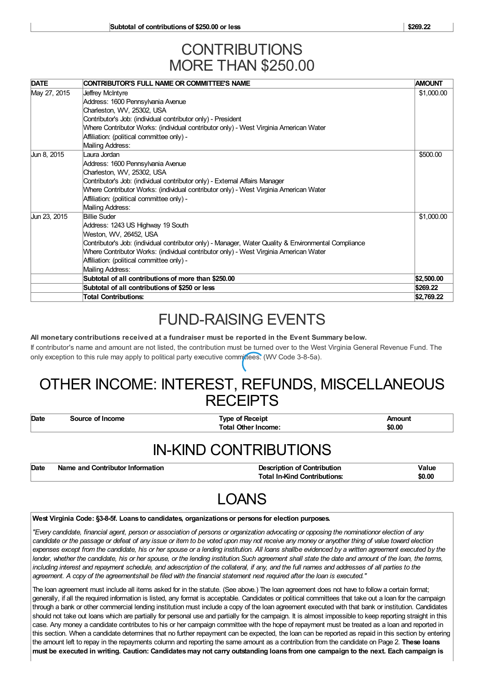### **CONTRIBUTIONS** MORE THAN \$250.00

| <b>DATE</b>  | CONTRIBUTOR'S FULL NAME OR COMMITTEE'S NAME                                                          | <b>AMOUNT</b> |
|--------------|------------------------------------------------------------------------------------------------------|---------------|
| May 27, 2015 | Jeffrey McIntyre                                                                                     | \$1,000.00    |
|              | Address: 1600 Pennsylvania Avenue                                                                    |               |
|              | Charleston, WV, 25302, USA                                                                           |               |
|              | Contributor's Job: (individual contributor only) - President                                         |               |
|              | Where Contributor Works: (individual contributor only) - West Virginia American Water                |               |
|              | Affiliation: (political committee only) -                                                            |               |
|              | Mailing Address:                                                                                     |               |
| Jun 8, 2015  | Laura Jordan                                                                                         | \$500.00      |
|              | Address: 1600 Pennsylvania Avenue                                                                    |               |
|              | Charleston, WV, 25302, USA                                                                           |               |
|              | Contributor's Job: (individual contributor only) - External Affairs Manager                          |               |
|              | Where Contributor Works: (individual contributor only) - West Virginia American Water                |               |
|              | Affiliation: (political committee only) -                                                            |               |
|              | Mailing Address:                                                                                     |               |
| Jun 23, 2015 | <b>Billie Suder</b>                                                                                  | \$1,000.00    |
|              | Address: 1243 US Highway 19 South                                                                    |               |
|              | Weston, WV, 26452, USA                                                                               |               |
|              | Contributor's Job: (individual contributor only) - Manager, Water Quality & Environmental Compliance |               |
|              | Where Contributor Works: (individual contributor only) - West Virginia American Water                |               |
|              | Affiliation: (political committee only) -                                                            |               |
|              | Mailing Address:                                                                                     |               |
|              | Subtotal of all contributions of more than \$250.00                                                  | \$2,500.00    |
|              | Subtotal of all contributions of \$250 or less                                                       | \$269.22      |
|              | <b>Total Contributions:</b>                                                                          | \$2,769.22    |

# FUND-RAISING EVENTS

**All monetary contributions received at a fundraiser must be reported in the Event Summary below.**

If contributor's name and amount are not listed, the contribution must be turned over to the West Virginia General Revenue Fund. The only exception to this rule may apply to political party executive committees. (WV Code 3-8-5a).

## OTHER INCOME: INTEREST, REFUNDS, MISCELLANEOUS **RECEIPTS**

**Date Source of Income Type of Receipt Amount Total Other Income: \$0.00**

### IN-KIND CONTRIBUTIONS

| Date | Name and Contributor Information | <b>Description of Contribution</b>  | Value  |
|------|----------------------------------|-------------------------------------|--------|
|      |                                  | <b>Total In-Kind Contributions:</b> | \$0.00 |

# LOANS

#### **West Virginia Code: §3-8-5f. Loans to candidates, organizationsor persons for election purposes.**

"Every candidate, financial agent, person or association of persons or organization advocating or opposing the nominationor election of any candidate or the passage or defeat of any issue or item to be voted upon may not receive any money or anyother thing of value toward election expenses except from the candidate, his or her spouse or a lending institution. All loans shallbe evidenced by a written agreement executed by the lender, whether the candidate, his or her spouse, or the lending institution. Such agreement shall state the date and amount of the loan, the terms, including interest and repayment schedule, and adescription of the collateral, if any, and the full names and addresses of all parties to the agreement. A copy of the agreementshall be filed with the financial statement next required after the loan is executed."

The loan agreement must include all items asked for in the statute. (See above.) The loan agreement does not have to follow a certain format; generally, if all the required information is listed, any format is acceptable. Candidates or political committees that take out a loan for the campaign through a bank or other commercial lending institution must include a copy of the loan agreement executed with that bank or institution. Candidates should not take out loans which are partially for personal use and partially for the campaign. It is almost impossible to keep reporting straight in this case. Any money a candidate contributes to his or her campaign committee with the hope of repayment must be treated as a loan and reported in this section. When a candidate determines that no further repayment can be expected, the loan can be reported as repaid in this section by entering the amount left to repay in the repayments column and reporting the same amount as a contribution from the candidate on Page 2. **These loans** must be executed in writing. Caution: Candidates may not carry outstanding loans from one campaign to the next. Each campaign is